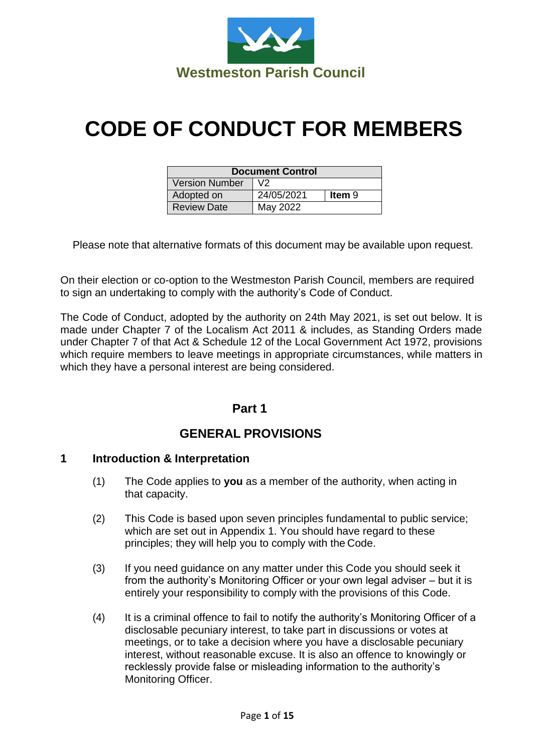

# **CODE OF CONDUCT FOR MEMBERS**

| <b>Document Control</b> |            |        |
|-------------------------|------------|--------|
| <b>Version Number</b>   | V2         |        |
| Adopted on              | 24/05/2021 | ltem 9 |
| <b>Review Date</b>      | May 2022   |        |

Please note that alternative formats of this document may be available upon request.

On their election or co-option to the Westmeston Parish Council, members are required to sign an undertaking to comply with the authority's Code of Conduct.

The Code of Conduct, adopted by the authority on 24th May 2021, is set out below. It is made under Chapter 7 of the Localism Act 2011 & includes, as Standing Orders made under Chapter 7 of that Act & Schedule 12 of the Local Government Act 1972, provisions which require members to leave meetings in appropriate circumstances, while matters in which they have a personal interest are being considered.

## **Part 1**

# **GENERAL PROVISIONS**

#### **1 Introduction & Interpretation**

- (1) The Code applies to **you** as a member of the authority, when acting in that capacity.
- (2) This Code is based upon seven principles fundamental to public service; which are set out in Appendix 1. You should have regard to these principles; they will help you to comply with the Code.
- (3) If you need guidance on any matter under this Code you should seek it from the authority's Monitoring Officer or your own legal adviser – but it is entirely your responsibility to comply with the provisions of this Code.
- (4) It is a criminal offence to fail to notify the authority's Monitoring Officer of a disclosable pecuniary interest, to take part in discussions or votes at meetings, or to take a decision where you have a disclosable pecuniary interest, without reasonable excuse. It is also an offence to knowingly or recklessly provide false or misleading information to the authority's Monitoring Officer.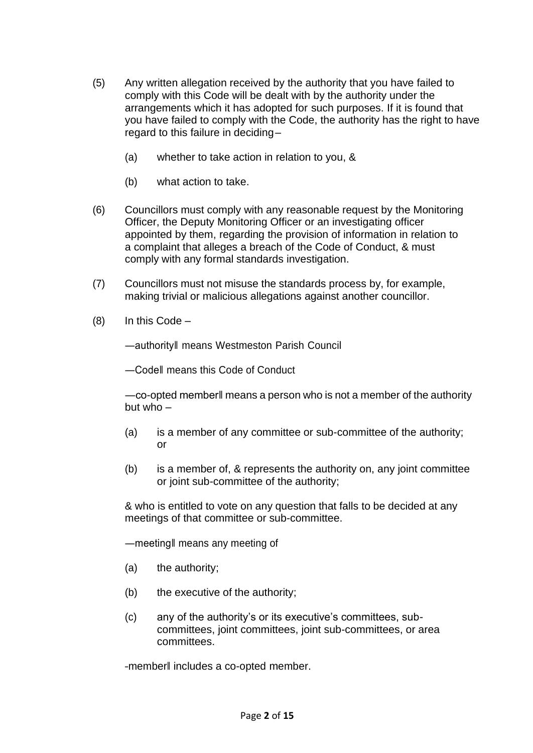- (5) Any written allegation received by the authority that you have failed to comply with this Code will be dealt with by the authority under the arrangements which it has adopted for such purposes. If it is found that you have failed to comply with the Code, the authority has the right to have regard to this failure in deciding–
	- (a) whether to take action in relation to you, &
	- (b) what action to take.
- (6) Councillors must comply with any reasonable request by the Monitoring Officer, the Deputy Monitoring Officer or an investigating officer appointed by them, regarding the provision of information in relation to a complaint that alleges a breach of the Code of Conduct, & must comply with any formal standards investigation.
- (7) Councillors must not misuse the standards process by, for example, making trivial or malicious allegations against another councillor.
- $(8)$  In this Code –

―authority‖ means Westmeston Parish Council

―Code‖ means this Code of Conduct

―co-opted member‖ means a person who is not a member of the authority but who  $-$ 

- (a) is a member of any committee or sub-committee of the authority; or
- (b) is a member of, & represents the authority on, any joint committee or joint sub-committee of the authority;

& who is entitled to vote on any question that falls to be decided at any meetings of that committee or sub-committee.

―meeting‖ means any meeting of

- (a) the authority;
- (b) the executive of the authority;
- (c) any of the authority's or its executive's committees, subcommittees, joint committees, joint sub-committees, or area committees.

―member‖ includes a co-opted member.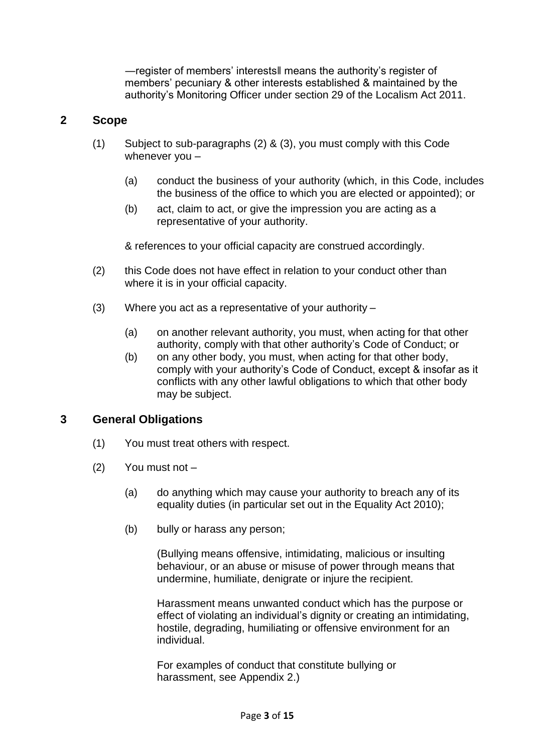―register of members' interests‖ means the authority's register of members' pecuniary & other interests established & maintained by the authority's Monitoring Officer under section 29 of the Localism Act 2011.

#### **2 Scope**

- (1) Subject to sub-paragraphs (2) & (3), you must comply with this Code whenever you –
	- (a) conduct the business of your authority (which, in this Code, includes the business of the office to which you are elected or appointed); or
	- (b) act, claim to act, or give the impression you are acting as a representative of your authority.

& references to your official capacity are construed accordingly.

- (2) this Code does not have effect in relation to your conduct other than where it is in your official capacity.
- (3) Where you act as a representative of your authority
	- (a) on another relevant authority, you must, when acting for that other authority, comply with that other authority's Code of Conduct; or
	- (b) on any other body, you must, when acting for that other body, comply with your authority's Code of Conduct, except & insofar as it conflicts with any other lawful obligations to which that other body may be subject.

#### **3 General Obligations**

- (1) You must treat others with respect.
- (2) You must not
	- (a) do anything which may cause your authority to breach any of its equality duties (in particular set out in the Equality Act 2010);
	- (b) bully or harass any person;

(Bullying means offensive, intimidating, malicious or insulting behaviour, or an abuse or misuse of power through means that undermine, humiliate, denigrate or injure the recipient.

Harassment means unwanted conduct which has the purpose or effect of violating an individual's dignity or creating an intimidating, hostile, degrading, humiliating or offensive environment for an individual.

For examples of conduct that constitute bullying or harassment, see Appendix 2.)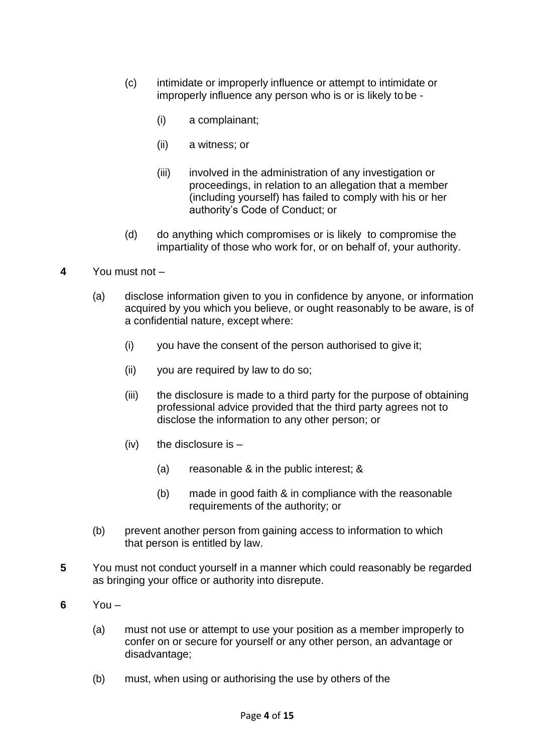- (c) intimidate or improperly influence or attempt to intimidate or improperly influence any person who is or is likely to be -
	- (i) a complainant;
	- (ii) a witness; or
	- (iii) involved in the administration of any investigation or proceedings, in relation to an allegation that a member (including yourself) has failed to comply with his or her authority's Code of Conduct; or
- (d) do anything which compromises or is likely to compromise the impartiality of those who work for, or on behalf of, your authority.
- **4** You must not
	- (a) disclose information given to you in confidence by anyone, or information acquired by you which you believe, or ought reasonably to be aware, is of a confidential nature, except where:
		- (i) you have the consent of the person authorised to give it;
		- (ii) you are required by law to do so;
		- (iii) the disclosure is made to a third party for the purpose of obtaining professional advice provided that the third party agrees not to disclose the information to any other person; or
		- $(iv)$  the disclosure is
			- (a) reasonable & in the public interest; &
			- (b) made in good faith & in compliance with the reasonable requirements of the authority; or
	- (b) prevent another person from gaining access to information to which that person is entitled by law.
- **5** You must not conduct yourself in a manner which could reasonably be regarded as bringing your office or authority into disrepute.
- **6** You
	- (a) must not use or attempt to use your position as a member improperly to confer on or secure for yourself or any other person, an advantage or disadvantage;
	- (b) must, when using or authorising the use by others of the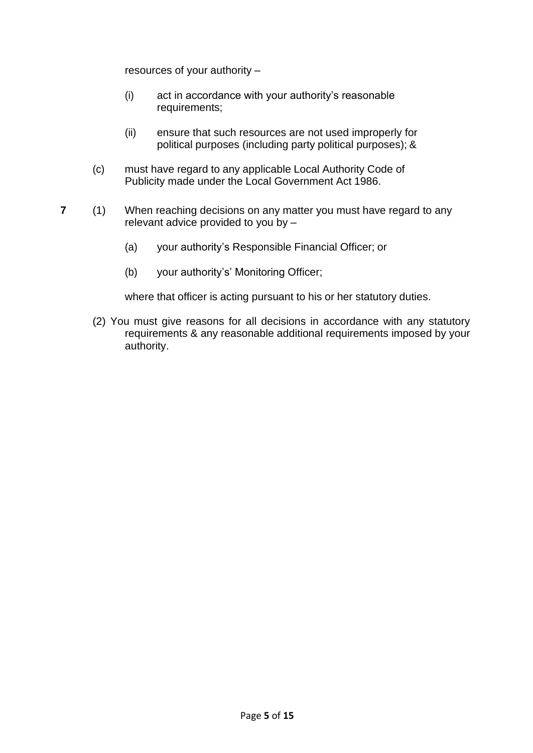resources of your authority –

- (i) act in accordance with your authority's reasonable requirements;
- (ii) ensure that such resources are not used improperly for political purposes (including party political purposes); &
- (c) must have regard to any applicable Local Authority Code of Publicity made under the Local Government Act 1986.
- **7** (1) When reaching decisions on any matter you must have regard to any relevant advice provided to you by –
	- (a) your authority's Responsible Financial Officer; or
	- (b) your authority's' Monitoring Officer;

where that officer is acting pursuant to his or her statutory duties.

(2) You must give reasons for all decisions in accordance with any statutory requirements & any reasonable additional requirements imposed by your authority.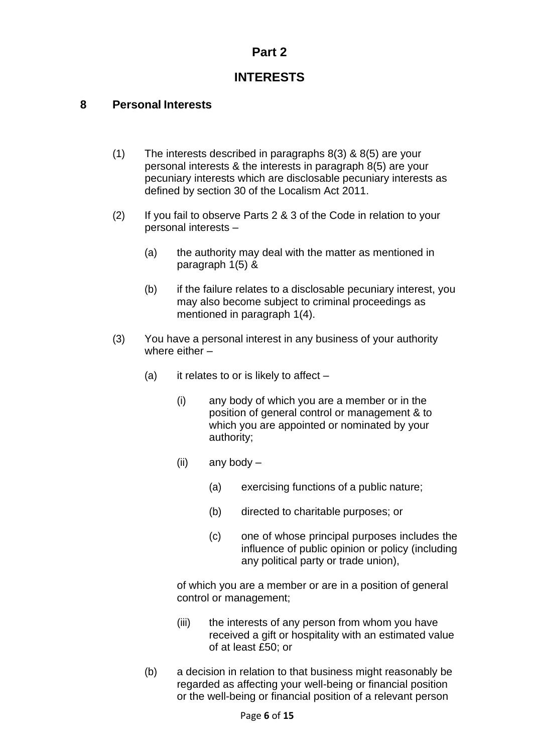# **Part 2**

# **INTERESTS**

## **8 Personal Interests**

- (1) The interests described in paragraphs 8(3) & 8(5) are your personal interests & the interests in paragraph 8(5) are your pecuniary interests which are disclosable pecuniary interests as defined by section 30 of the Localism Act 2011.
- (2) If you fail to observe Parts 2 & 3 of the Code in relation to your personal interests –
	- (a) the authority may deal with the matter as mentioned in paragraph 1(5) &
	- (b) if the failure relates to a disclosable pecuniary interest, you may also become subject to criminal proceedings as mentioned in paragraph 1(4).
- (3) You have a personal interest in any business of your authority where either –
	- (a) it relates to or is likely to affect  $-$ 
		- (i) any body of which you are a member or in the position of general control or management & to which you are appointed or nominated by your authority;
		- (ii) any body
			- (a) exercising functions of a public nature;
			- (b) directed to charitable purposes; or
			- (c) one of whose principal purposes includes the influence of public opinion or policy (including any political party or trade union),

of which you are a member or are in a position of general control or management;

- (iii) the interests of any person from whom you have received a gift or hospitality with an estimated value of at least £50; or
- (b) a decision in relation to that business might reasonably be regarded as affecting your well-being or financial position or the well-being or financial position of a relevant person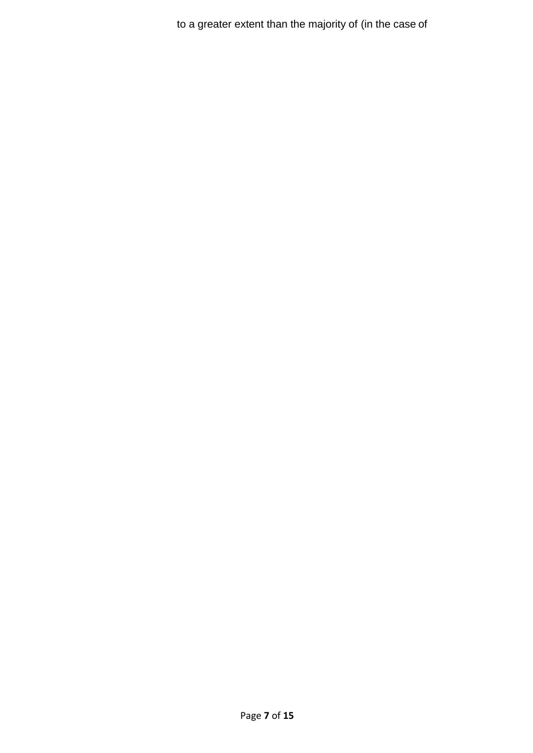to a greater extent than the majority of (in the case of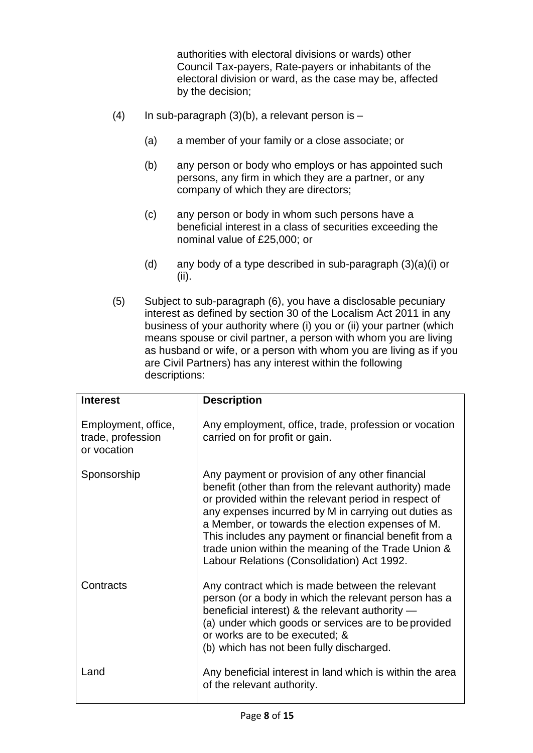authorities with electoral divisions or wards) other Council Tax-payers, Rate-payers or inhabitants of the electoral division or ward, as the case may be, affected by the decision;

- (4) In sub-paragraph  $(3)(b)$ , a relevant person is
	- (a) a member of your family or a close associate; or
	- (b) any person or body who employs or has appointed such persons, any firm in which they are a partner, or any company of which they are directors;
	- (c) any person or body in whom such persons have a beneficial interest in a class of securities exceeding the nominal value of £25,000; or
	- (d) any body of a type described in sub-paragraph (3)(a)(i) or (ii).
- (5) Subject to sub-paragraph (6), you have a disclosable pecuniary interest as defined by section 30 of the Localism Act 2011 in any business of your authority where (i) you or (ii) your partner (which means spouse or civil partner, a person with whom you are living as husband or wife, or a person with whom you are living as if you are Civil Partners) has any interest within the following descriptions:

| <b>Interest</b>                                         | <b>Description</b>                                                                                                                                                                                                                                                                                                                                                                                                                         |
|---------------------------------------------------------|--------------------------------------------------------------------------------------------------------------------------------------------------------------------------------------------------------------------------------------------------------------------------------------------------------------------------------------------------------------------------------------------------------------------------------------------|
| Employment, office,<br>trade, profession<br>or vocation | Any employment, office, trade, profession or vocation<br>carried on for profit or gain.                                                                                                                                                                                                                                                                                                                                                    |
| Sponsorship                                             | Any payment or provision of any other financial<br>benefit (other than from the relevant authority) made<br>or provided within the relevant period in respect of<br>any expenses incurred by M in carrying out duties as<br>a Member, or towards the election expenses of M.<br>This includes any payment or financial benefit from a<br>trade union within the meaning of the Trade Union &<br>Labour Relations (Consolidation) Act 1992. |
| Contracts                                               | Any contract which is made between the relevant<br>person (or a body in which the relevant person has a<br>beneficial interest) & the relevant authority -<br>(a) under which goods or services are to be provided<br>or works are to be executed; &<br>(b) which has not been fully discharged.                                                                                                                                           |
| Land                                                    | Any beneficial interest in land which is within the area<br>of the relevant authority.                                                                                                                                                                                                                                                                                                                                                     |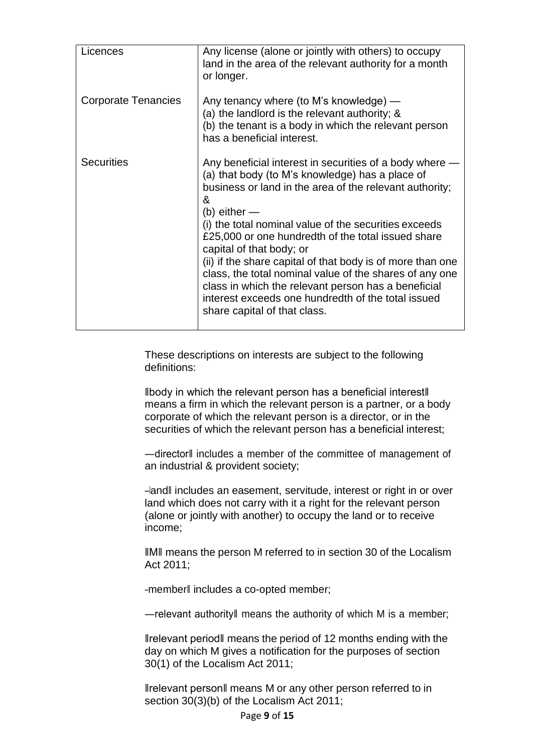| Licences                   | Any license (alone or jointly with others) to occupy<br>land in the area of the relevant authority for a month<br>or longer.                                                                                                                                                                                                                                                                                                                                                                                                                                                                              |
|----------------------------|-----------------------------------------------------------------------------------------------------------------------------------------------------------------------------------------------------------------------------------------------------------------------------------------------------------------------------------------------------------------------------------------------------------------------------------------------------------------------------------------------------------------------------------------------------------------------------------------------------------|
| <b>Corporate Tenancies</b> | Any tenancy where (to M's knowledge) —<br>(a) the landlord is the relevant authority; &<br>(b) the tenant is a body in which the relevant person<br>has a beneficial interest.                                                                                                                                                                                                                                                                                                                                                                                                                            |
| <b>Securities</b>          | Any beneficial interest in securities of a body where<br>(a) that body (to M's knowledge) has a place of<br>business or land in the area of the relevant authority;<br>&<br>(b) either —<br>(i) the total nominal value of the securities exceeds<br>£25,000 or one hundredth of the total issued share<br>capital of that body; or<br>(ii) if the share capital of that body is of more than one<br>class, the total nominal value of the shares of any one<br>class in which the relevant person has a beneficial<br>interest exceeds one hundredth of the total issued<br>share capital of that class. |

These descriptions on interests are subject to the following definitions:

‖body in which the relevant person has a beneficial interest‖ means a firm in which the relevant person is a partner, or a body corporate of which the relevant person is a director, or in the securities of which the relevant person has a beneficial interest;

―director‖ includes a member of the committee of management of an industrial & provident society;

―land‖ includes an easement, servitude, interest or right in or over land which does not carry with it a right for the relevant person (alone or jointly with another) to occupy the land or to receive income;

‖M‖ means the person M referred to in section 30 of the Localism Act 2011;

―member‖ includes a co-opted member;

―relevant authority‖ means the authority of which M is a member;

‖relevant period‖ means the period of 12 months ending with the day on which M gives a notification for the purposes of section 30(1) of the Localism Act 2011;

‖relevant person‖ means M or any other person referred to in section 30(3)(b) of the Localism Act 2011;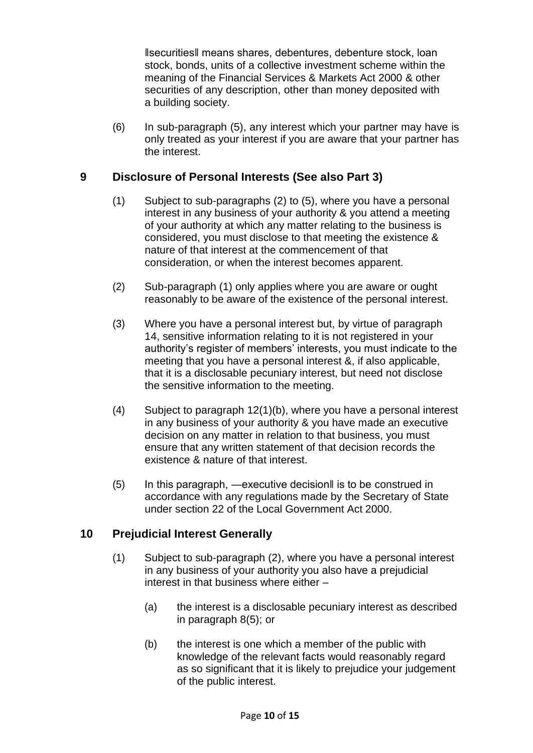‖securities‖ means shares, debentures, debenture stock, loan stock, bonds, units of a collective investment scheme within the meaning of the Financial Services & Markets Act 2000 & other securities of any description, other than money deposited with a building society.

(6) In sub-paragraph (5), any interest which your partner may have is only treated as your interest if you are aware that your partner has the interest.

## **9 Disclosure of Personal Interests (See also Part 3)**

- (1) Subject to sub-paragraphs (2) to (5), where you have a personal interest in any business of your authority & you attend a meeting of your authority at which any matter relating to the business is considered, you must disclose to that meeting the existence & nature of that interest at the commencement of that consideration, or when the interest becomes apparent.
- (2) Sub-paragraph (1) only applies where you are aware or ought reasonably to be aware of the existence of the personal interest.
- (3) Where you have a personal interest but, by virtue of paragraph 14, sensitive information relating to it is not registered in your authority's register of members' interests, you must indicate to the meeting that you have a personal interest &, if also applicable, that it is a disclosable pecuniary interest, but need not disclose the sensitive information to the meeting.
- (4) Subject to paragraph 12(1)(b), where you have a personal interest in any business of your authority & you have made an executive decision on any matter in relation to that business, you must ensure that any written statement of that decision records the existence & nature of that interest.
- (5) In this paragraph, ―executive decision‖ is to be construed in accordance with any regulations made by the Secretary of State under section 22 of the Local Government Act 2000.

## **10 Prejudicial Interest Generally**

- (1) Subject to sub-paragraph (2), where you have a personal interest in any business of your authority you also have a prejudicial interest in that business where either –
	- (a) the interest is a disclosable pecuniary interest as described in paragraph 8(5); or
	- (b) the interest is one which a member of the public with knowledge of the relevant facts would reasonably regard as so significant that it is likely to prejudice your judgement of the public interest.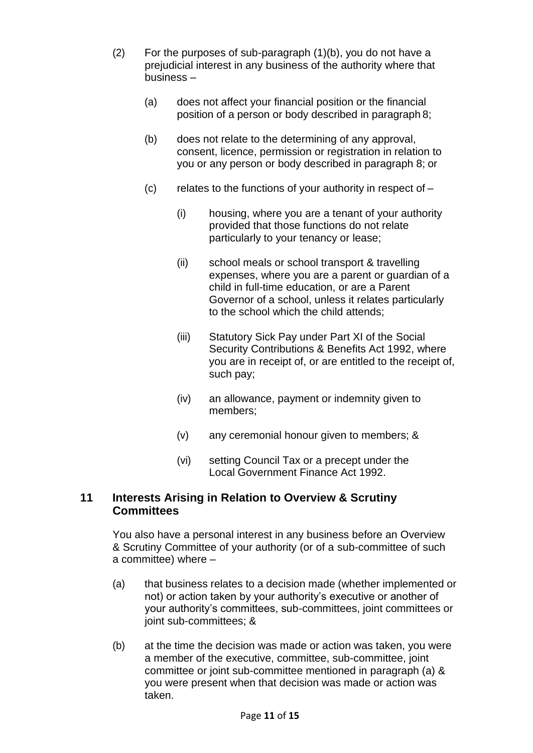- (2) For the purposes of sub-paragraph (1)(b), you do not have a prejudicial interest in any business of the authority where that business –
	- (a) does not affect your financial position or the financial position of a person or body described in paragraph 8;
	- (b) does not relate to the determining of any approval, consent, licence, permission or registration in relation to you or any person or body described in paragraph 8; or
	- $(c)$  relates to the functions of your authority in respect of  $-$ 
		- (i) housing, where you are a tenant of your authority provided that those functions do not relate particularly to your tenancy or lease;
		- (ii) school meals or school transport & travelling expenses, where you are a parent or guardian of a child in full-time education, or are a Parent Governor of a school, unless it relates particularly to the school which the child attends;
		- (iii) Statutory Sick Pay under Part XI of the Social Security Contributions & Benefits Act 1992, where you are in receipt of, or are entitled to the receipt of, such pay;
		- (iv) an allowance, payment or indemnity given to members;
		- (v) any ceremonial honour given to members; &
		- (vi) setting Council Tax or a precept under the Local Government Finance Act 1992.

## **11 Interests Arising in Relation to Overview & Scrutiny Committees**

You also have a personal interest in any business before an Overview & Scrutiny Committee of your authority (or of a sub-committee of such a committee) where –

- (a) that business relates to a decision made (whether implemented or not) or action taken by your authority's executive or another of your authority's committees, sub-committees, joint committees or joint sub-committees; &
- (b) at the time the decision was made or action was taken, you were a member of the executive, committee, sub-committee, joint committee or joint sub-committee mentioned in paragraph (a) & you were present when that decision was made or action was taken.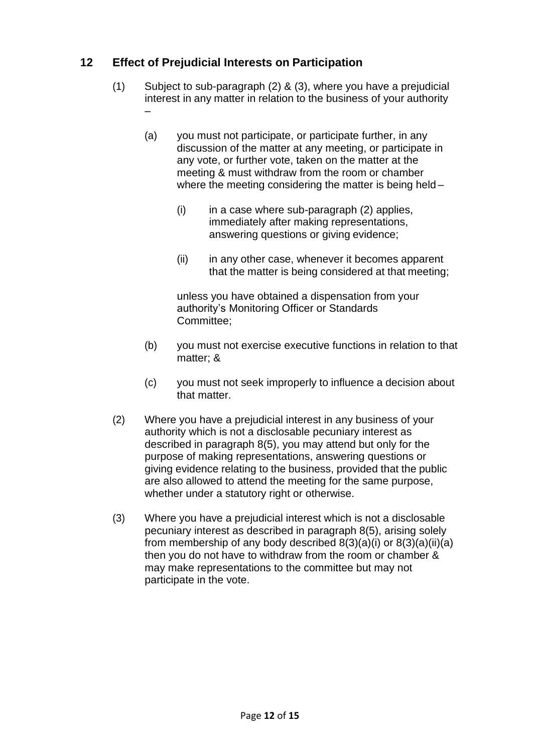# **12 Effect of Prejudicial Interests on Participation**

- (1) Subject to sub-paragraph (2) & (3), where you have a prejudicial interest in any matter in relation to the business of your authority –
	- (a) you must not participate, or participate further, in any discussion of the matter at any meeting, or participate in any vote, or further vote, taken on the matter at the meeting & must withdraw from the room or chamber where the meeting considering the matter is being held –
		- $(i)$  in a case where sub-paragraph  $(2)$  applies, immediately after making representations, answering questions or giving evidence;
		- (ii) in any other case, whenever it becomes apparent that the matter is being considered at that meeting;

unless you have obtained a dispensation from your authority's Monitoring Officer or Standards Committee;

- (b) you must not exercise executive functions in relation to that matter; &
- (c) you must not seek improperly to influence a decision about that matter.
- (2) Where you have a prejudicial interest in any business of your authority which is not a disclosable pecuniary interest as described in paragraph 8(5), you may attend but only for the purpose of making representations, answering questions or giving evidence relating to the business, provided that the public are also allowed to attend the meeting for the same purpose, whether under a statutory right or otherwise.
- (3) Where you have a prejudicial interest which is not a disclosable pecuniary interest as described in paragraph 8(5), arising solely from membership of any body described  $8(3)(a)(i)$  or  $8(3)(a)(ii)(a)$ then you do not have to withdraw from the room or chamber & may make representations to the committee but may not participate in the vote.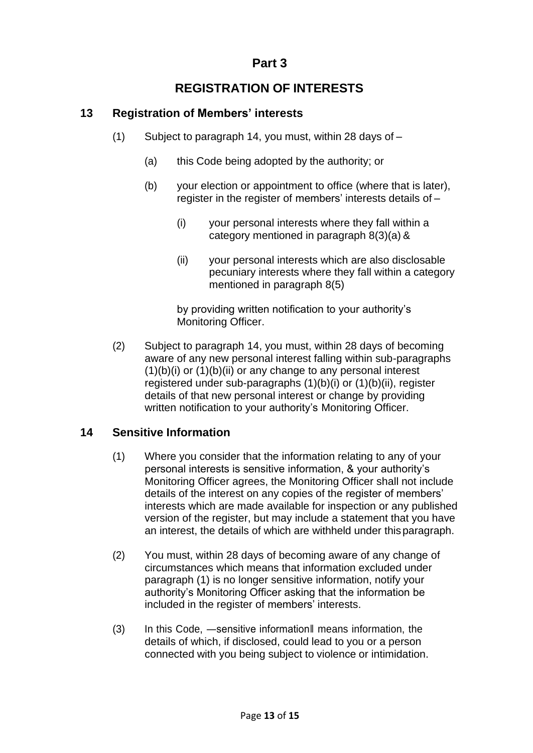# **Part 3**

# **REGISTRATION OF INTERESTS**

# **13 Registration of Members' interests**

- (1) Subject to paragraph 14, you must, within 28 days of
	- (a) this Code being adopted by the authority; or
	- (b) your election or appointment to office (where that is later), register in the register of members' interests details of –
		- (i) your personal interests where they fall within a category mentioned in paragraph 8(3)(a) &
		- (ii) your personal interests which are also disclosable pecuniary interests where they fall within a category mentioned in paragraph 8(5)

by providing written notification to your authority's Monitoring Officer.

(2) Subject to paragraph 14, you must, within 28 days of becoming aware of any new personal interest falling within sub-paragraphs  $(1)(b)(i)$  or  $(1)(b)(ii)$  or any change to any personal interest registered under sub-paragraphs (1)(b)(i) or (1)(b)(ii), register details of that new personal interest or change by providing written notification to your authority's Monitoring Officer.

## **14 Sensitive Information**

- (1) Where you consider that the information relating to any of your personal interests is sensitive information, & your authority's Monitoring Officer agrees, the Monitoring Officer shall not include details of the interest on any copies of the register of members' interests which are made available for inspection or any published version of the register, but may include a statement that you have an interest, the details of which are withheld under thisparagraph.
- (2) You must, within 28 days of becoming aware of any change of circumstances which means that information excluded under paragraph (1) is no longer sensitive information, notify your authority's Monitoring Officer asking that the information be included in the register of members' interests.
- (3) In this Code, ―sensitive information‖ means information, the details of which, if disclosed, could lead to you or a person connected with you being subject to violence or intimidation.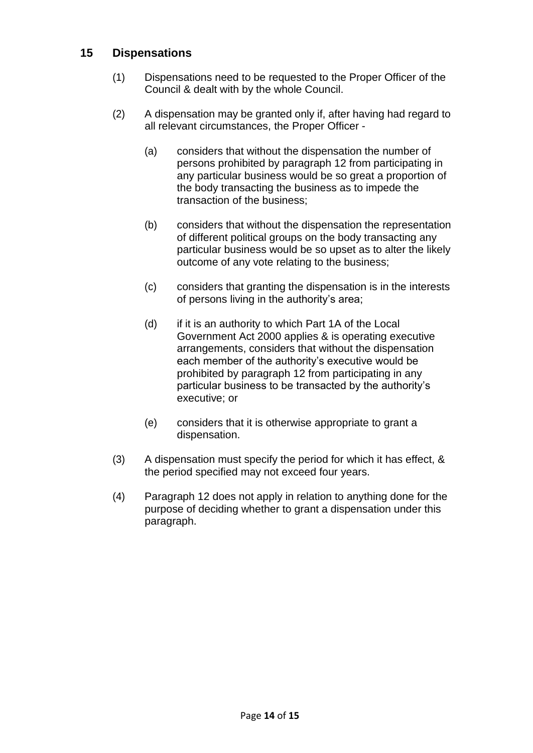## **15 Dispensations**

- (1) Dispensations need to be requested to the Proper Officer of the Council & dealt with by the whole Council.
- (2) A dispensation may be granted only if, after having had regard to all relevant circumstances, the Proper Officer -
	- (a) considers that without the dispensation the number of persons prohibited by paragraph 12 from participating in any particular business would be so great a proportion of the body transacting the business as to impede the transaction of the business;
	- (b) considers that without the dispensation the representation of different political groups on the body transacting any particular business would be so upset as to alter the likely outcome of any vote relating to the business;
	- (c) considers that granting the dispensation is in the interests of persons living in the authority's area;
	- (d) if it is an authority to which Part 1A of the Local Government Act 2000 applies & is operating executive arrangements, considers that without the dispensation each member of the authority's executive would be prohibited by paragraph 12 from participating in any particular business to be transacted by the authority's executive; or
	- (e) considers that it is otherwise appropriate to grant a dispensation.
- (3) A dispensation must specify the period for which it has effect, & the period specified may not exceed four years.
- (4) Paragraph 12 does not apply in relation to anything done for the purpose of deciding whether to grant a dispensation under this paragraph.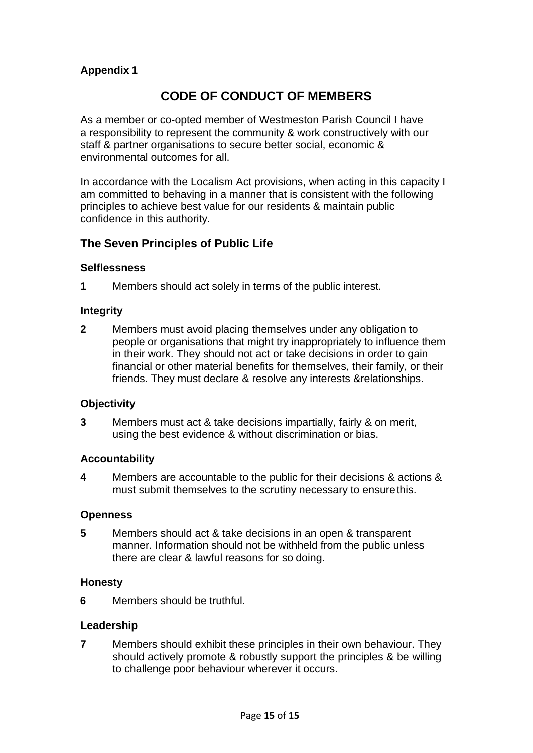## **Appendix 1**

# **CODE OF CONDUCT OF MEMBERS**

As a member or co-opted member of Westmeston Parish Council I have a responsibility to represent the community & work constructively with our staff & partner organisations to secure better social, economic & environmental outcomes for all.

In accordance with the Localism Act provisions, when acting in this capacity I am committed to behaving in a manner that is consistent with the following principles to achieve best value for our residents & maintain public confidence in this authority.

## **The Seven Principles of Public Life**

#### **Selflessness**

**1** Members should act solely in terms of the public interest.

#### **Integrity**

**2** Members must avoid placing themselves under any obligation to people or organisations that might try inappropriately to influence them in their work. They should not act or take decisions in order to gain financial or other material benefits for themselves, their family, or their friends. They must declare & resolve any interests &relationships.

#### **Objectivity**

**3** Members must act & take decisions impartially, fairly & on merit, using the best evidence & without discrimination or bias.

#### **Accountability**

**4** Members are accountable to the public for their decisions & actions & must submit themselves to the scrutiny necessary to ensure this.

#### **Openness**

**5** Members should act & take decisions in an open & transparent manner. Information should not be withheld from the public unless there are clear & lawful reasons for so doing.

#### **Honesty**

**6** Members should be truthful.

#### **Leadership**

**7** Members should exhibit these principles in their own behaviour. They should actively promote & robustly support the principles & be willing to challenge poor behaviour wherever it occurs.